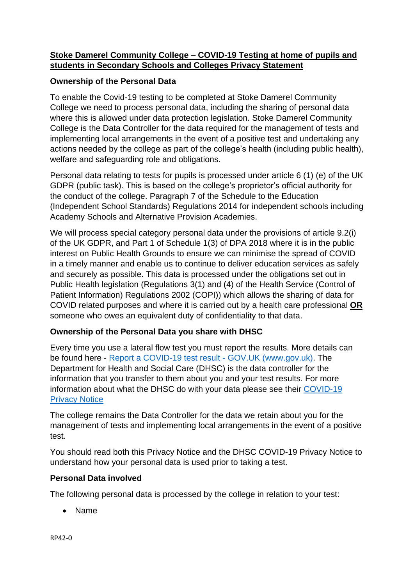# **Stoke Damerel Community College – COVID-19 Testing at home of pupils and students in Secondary Schools and Colleges Privacy Statement**

# **Ownership of the Personal Data**

To enable the Covid-19 testing to be completed at Stoke Damerel Community College we need to process personal data, including the sharing of personal data where this is allowed under data protection legislation. Stoke Damerel Community College is the Data Controller for the data required for the management of tests and implementing local arrangements in the event of a positive test and undertaking any actions needed by the college as part of the college's health (including public health), welfare and safeguarding role and obligations.

Personal data relating to tests for pupils is processed under article 6 (1) (e) of the UK GDPR (public task). This is based on the college's proprietor's official authority for the conduct of the college. Paragraph 7 of the Schedule to the Education (Independent School Standards) Regulations 2014 for independent schools including Academy Schools and Alternative Provision Academies.

We will process special category personal data under the provisions of article 9.2(i) of the UK GDPR, and Part 1 of Schedule 1(3) of DPA 2018 where it is in the public interest on Public Health Grounds to ensure we can minimise the spread of COVID in a timely manner and enable us to continue to deliver education services as safely and securely as possible. This data is processed under the obligations set out in Public Health legislation (Regulations 3(1) and (4) of the Health Service (Control of Patient Information) Regulations 2002 (COPI)) which allows the sharing of data for COVID related purposes and where it is carried out by a health care professional **OR** someone who owes an equivalent duty of confidentiality to that data.

## **Ownership of the Personal Data you share with DHSC**

Every time you use a lateral flow test you must report the results. More details can be found here - [Report a COVID-19 test result -](https://www.gov.uk/report-covid19-result) GOV.UK (www.gov.uk). The Department for Health and Social Care (DHSC) is the data controller for the information that you transfer to them about you and your test results. For more information about what the DHSC do with your data please see their [COVID-19](https://www.gov.uk/government/publications/coronavirus-covid-19-testing-privacy-information)  [Privacy Notice](https://www.gov.uk/government/publications/coronavirus-covid-19-testing-privacy-information)

The college remains the Data Controller for the data we retain about you for the management of tests and implementing local arrangements in the event of a positive test.

You should read both this Privacy Notice and the DHSC COVID-19 Privacy Notice to understand how your personal data is used prior to taking a test.

## **Personal Data involved**

The following personal data is processed by the college in relation to your test:

Name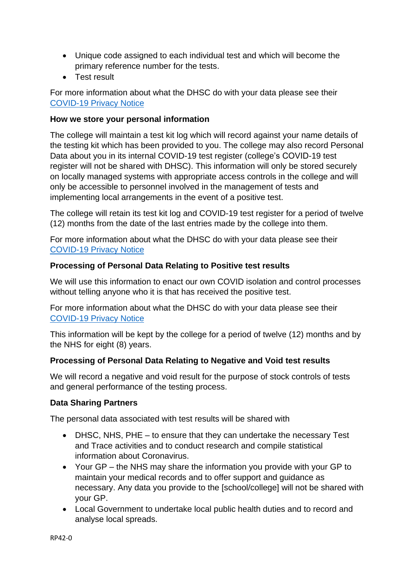- Unique code assigned to each individual test and which will become the primary reference number for the tests.
- **•** Test result

For more information about what the DHSC do with your data please see their [COVID-19 Privacy Notice](https://www.gov.uk/government/publications/coronavirus-covid-19-testing-privacy-information)

### **How we store your personal information**

The college will maintain a test kit log which will record against your name details of the testing kit which has been provided to you. The college may also record Personal Data about you in its internal COVID-19 test register (college's COVID-19 test register will not be shared with DHSC). This information will only be stored securely on locally managed systems with appropriate access controls in the college and will only be accessible to personnel involved in the management of tests and implementing local arrangements in the event of a positive test.

The college will retain its test kit log and COVID-19 test register for a period of twelve (12) months from the date of the last entries made by the college into them.

For more information about what the DHSC do with your data please see their [COVID-19 Privacy Notice](https://www.gov.uk/government/publications/coronavirus-covid-19-testing-privacy-information)

#### **Processing of Personal Data Relating to Positive test results**

We will use this information to enact our own COVID isolation and control processes without telling anyone who it is that has received the positive test.

For more information about what the DHSC do with your data please see their [COVID-19 Privacy Notice](https://www.gov.uk/government/publications/coronavirus-covid-19-testing-privacy-information)

This information will be kept by the college for a period of twelve (12) months and by the NHS for eight (8) years.

## **Processing of Personal Data Relating to Negative and Void test results**

We will record a negative and void result for the purpose of stock controls of tests and general performance of the testing process.

#### **Data Sharing Partners**

The personal data associated with test results will be shared with

- DHSC, NHS, PHE to ensure that they can undertake the necessary Test and Trace activities and to conduct research and compile statistical information about Coronavirus.
- Your GP the NHS may share the information you provide with your GP to maintain your medical records and to offer support and guidance as necessary. Any data you provide to the [school/college] will not be shared with your GP.
- Local Government to undertake local public health duties and to record and analyse local spreads.